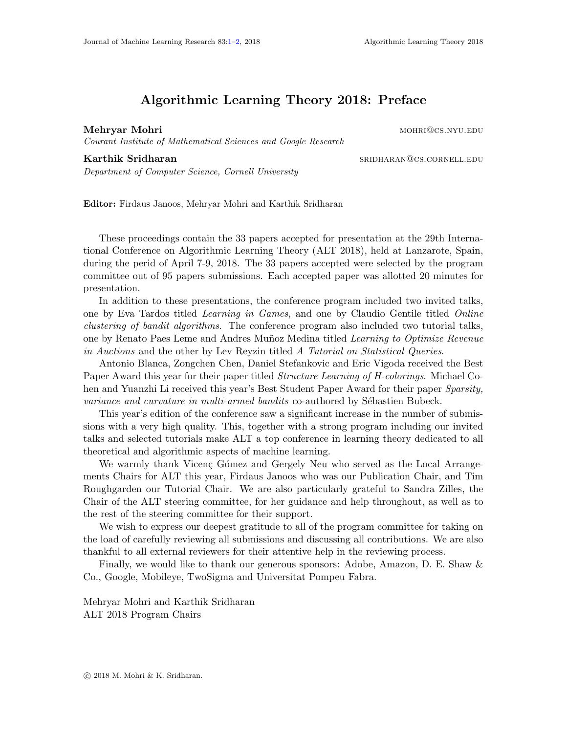## Algorithmic Learning Theory 2018: Preface

<span id="page-0-0"></span>Mehryar Mohri mohri@cs.nyu.edu

Courant Institute of Mathematical Sciences and Google Research

## Karthik Sridharan sridharan@cs.cornell.edu

Department of Computer Science, Cornell University

Editor: Firdaus Janoos, Mehryar Mohri and Karthik Sridharan

These proceedings contain the 33 papers accepted for presentation at the 29th International Conference on Algorithmic Learning Theory (ALT 2018), held at Lanzarote, Spain, during the perid of April 7-9, 2018. The 33 papers accepted were selected by the program committee out of 95 papers submissions. Each accepted paper was allotted 20 minutes for presentation.

In addition to these presentations, the conference program included two invited talks, one by Eva Tardos titled Learning in Games, and one by Claudio Gentile titled Online clustering of bandit algorithms. The conference program also included two tutorial talks, one by Renato Paes Leme and Andres Muñoz Medina titled Learning to Optimize Revenue in Auctions and the other by Lev Reyzin titled A Tutorial on Statistical Queries.

Antonio Blanca, Zongchen Chen, Daniel Stefankovic and Eric Vigoda received the Best Paper Award this year for their paper titled *Structure Learning of H-colorings*. Michael Cohen and Yuanzhi Li received this year's Best Student Paper Award for their paper Sparsity, variance and curvature in multi-armed bandits co-authored by Sébastien Bubeck.

This year's edition of the conference saw a significant increase in the number of submissions with a very high quality. This, together with a strong program including our invited talks and selected tutorials make ALT a top conference in learning theory dedicated to all theoretical and algorithmic aspects of machine learning.

We warmly thank Vicenç Gómez and Gergely Neu who served as the Local Arrangements Chairs for ALT this year, Firdaus Janoos who was our Publication Chair, and Tim Roughgarden our Tutorial Chair. We are also particularly grateful to Sandra Zilles, the Chair of the ALT steering committee, for her guidance and help throughout, as well as to the rest of the steering committee for their support.

We wish to express our deepest gratitude to all of the program committee for taking on the load of carefully reviewing all submissions and discussing all contributions. We are also thankful to all external reviewers for their attentive help in the reviewing process.

Finally, we would like to thank our generous sponsors: Adobe, Amazon, D. E. Shaw & Co., Google, Mobileye, TwoSigma and Universitat Pompeu Fabra.

Mehryar Mohri and Karthik Sridharan ALT 2018 Program Chairs